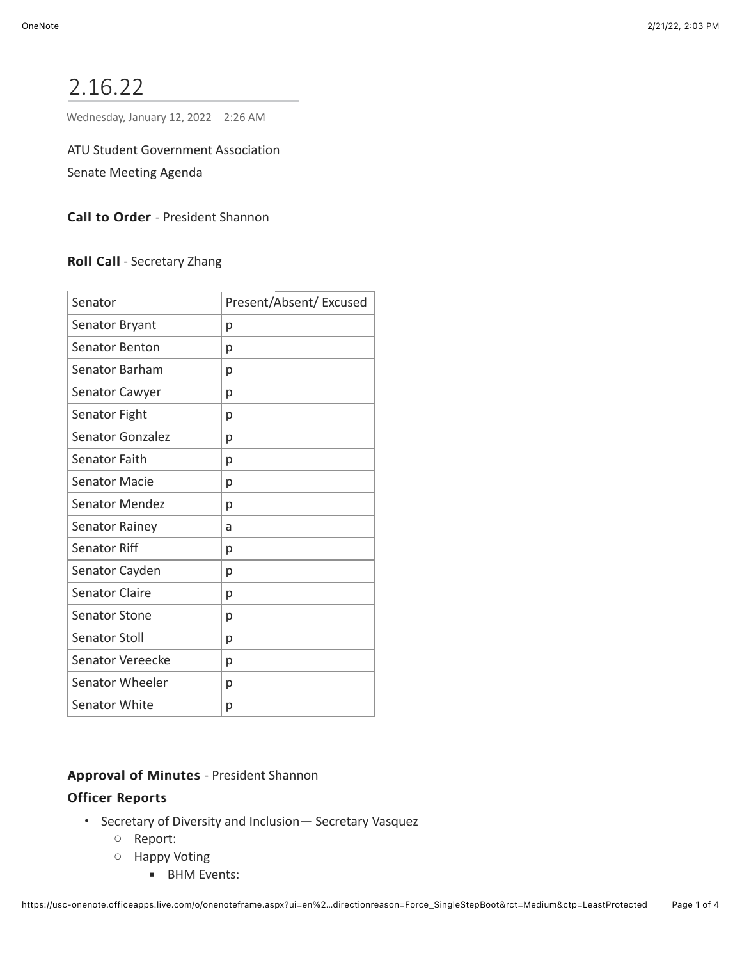# 2.16.22

Wednesday, January 12, 2022 2:26 AM

ATU Student Government Association Senate Meeting Agenda

Call to Order - President Shannon

Roll Call - Secretary Zhang

| Senator               | Present/Absent/ Excused |
|-----------------------|-------------------------|
| Senator Bryant        | р                       |
| Senator Benton        | р                       |
| Senator Barham        | р                       |
| Senator Cawyer        | р                       |
| Senator Fight         | р                       |
| Senator Gonzalez      | р                       |
| Senator Faith         | р                       |
| <b>Senator Macie</b>  | р                       |
| <b>Senator Mendez</b> | р                       |
| <b>Senator Rainey</b> | a                       |
| Senator Riff          | р                       |
| Senator Cayden        | р                       |
| <b>Senator Claire</b> | р                       |
| <b>Senator Stone</b>  | р                       |
| Senator Stoll         | р                       |
| Senator Vereecke      | р                       |
| Senator Wheeler       | р                       |
| <b>Senator White</b>  | р                       |

## Approval of Minutes - President Shannon

## **Officer Reports**

- Secretary of Diversity and Inclusion— Secretary Vasquez
	- Report:
	- Happy Voting
		- **■** BHM Events: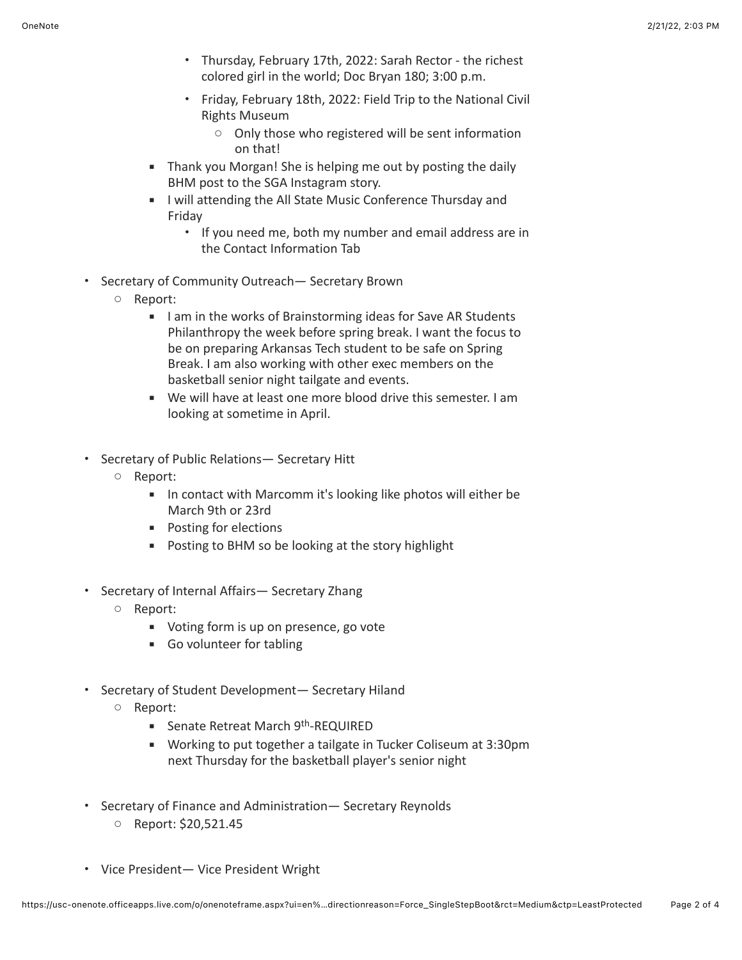- Thursday, February 17th, 2022: Sarah Rector the richest colored girl in the world; Doc Bryan 180; 3:00 p.m.
- Friday, February 18th, 2022: Field Trip to the National Civil Rights Museum
	- Only those who registered will be sent information on that!
- **EXT** Thank you Morgan! She is helping me out by posting the daily BHM post to the SGA Instagram story.
- **■** I will attending the All State Music Conference Thursday and Friday
	- If you need me, both my number and email address are in the Contact Information Tab
- Secretary of Community Outreach— Secretary Brown
	- Report:
		- I am in the works of Brainstorming ideas for Save AR Students Philanthropy the week before spring break. I want the focus to be on preparing Arkansas Tech student to be safe on Spring Break. I am also working with other exec members on the basketball senior night tailgate and events.
		- We will have at least one more blood drive this semester. I am looking at sometime in April.
- Secretary of Public Relations— Secretary Hitt
	- Report:
		- In contact with Marcomm it's looking like photos will either be March 9th or 23rd
		- Posting for elections
		- Posting to BHM so be looking at the story highlight
- Secretary of Internal Affairs— Secretary Zhang
	- Report:
		- Voting form is up on presence, go vote
		- Go volunteer for tabling
- Secretary of Student Development— Secretary Hiland
	- Report:
		- **E** Senate Retreat March 9<sup>th</sup>-REQUIRED
		- Working to put together a tailgate in Tucker Coliseum at 3:30pm next Thursday for the basketball player's senior night
- Secretary of Finance and Administration— Secretary Reynolds
	- Report: \$20,521.45
- Vice President— Vice President Wright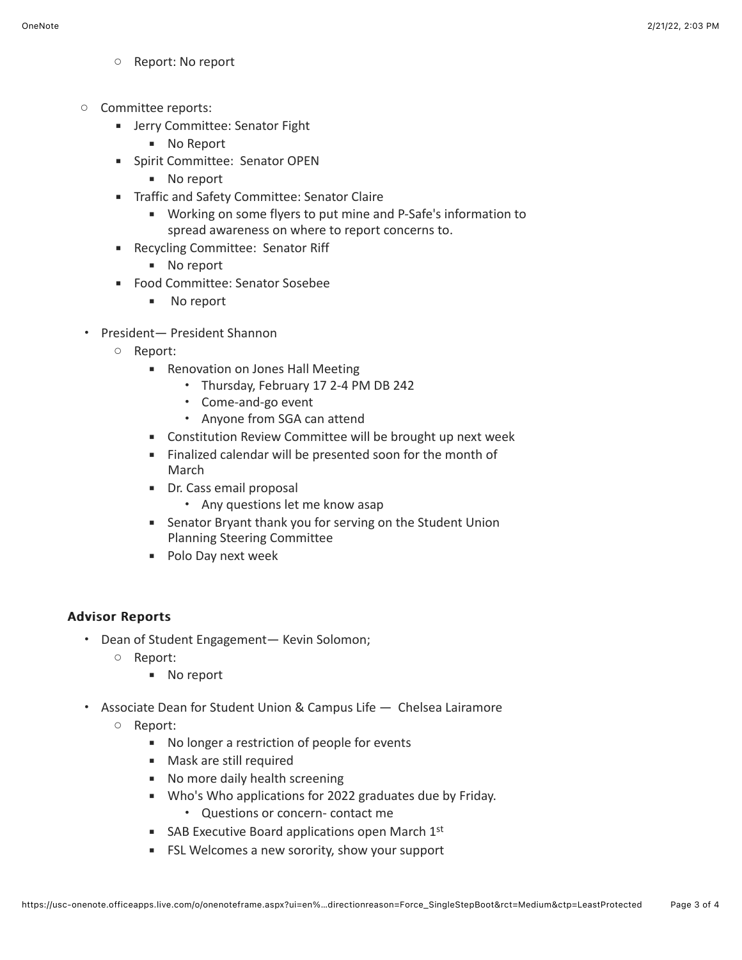- Report: No report
- Committee reports:
	- **EXECOMMITTEE: Senator Fight** 
		- No Report
	- **·** Spirit Committee: Senator OPEN
		- No report
	- **EXEC** Traffic and Safety Committee: Senator Claire
		- Working on some flyers to put mine and P-Safe's information to spread awareness on where to report concerns to.
	- Recycling Committee: Senator Riff
		- No report
	- Food Committee: Senator Sosebee
		- No report
- President— President Shannon
	- Report:
		- Renovation on Jones Hall Meeting
			- Thursday, February 17 2-4 PM DB 242
			- Come-and-go event
			- Anyone from SGA can attend
		- Constitution Review Committee will be brought up next week
		- Finalized calendar will be presented soon for the month of March
		- Dr. Cass email proposal
			- Any questions let me know asap
		- Senator Bryant thank you for serving on the Student Union Planning Steering Committee
		- Polo Day next week

## Advisor Reports Advisor Reports

- Dean of Student Engagement— Kevin Solomon;
	- Report:
		- No report
- Associate Dean for Student Union & Campus Life Chelsea Lairamore
	- Report:
		- No longer a restriction of people for events
		- Mask are still required
		- No more daily health screening
		- Who's Who applications for 2022 graduates due by Friday.
			- Questions or concern- contact me
		- SAB Executive Board applications open March  $1<sup>st</sup>$
		- FSL Welcomes a new sorority, show your support